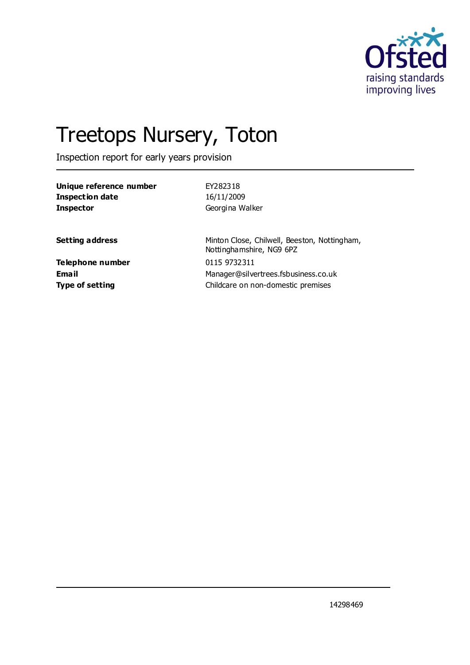

# Treetops Nursery, Toton

Inspection report for early years provision

| Unique reference number | EY282318                                                                 |  |
|-------------------------|--------------------------------------------------------------------------|--|
| <b>Inspection date</b>  | 16/11/2009                                                               |  |
| <b>Inspector</b>        | Georgina Walker                                                          |  |
|                         |                                                                          |  |
| <b>Setting address</b>  | Minton Close, Chilwell, Beeston, Nottingham,<br>Nottinghamshire, NG9 6PZ |  |
| Telephone number        | 0115 9732311                                                             |  |
| Email                   | Manager@silvertrees.fsbusiness.co.uk                                     |  |
| <b>Type of setting</b>  | Childcare on non-domestic premises                                       |  |
|                         |                                                                          |  |

14298469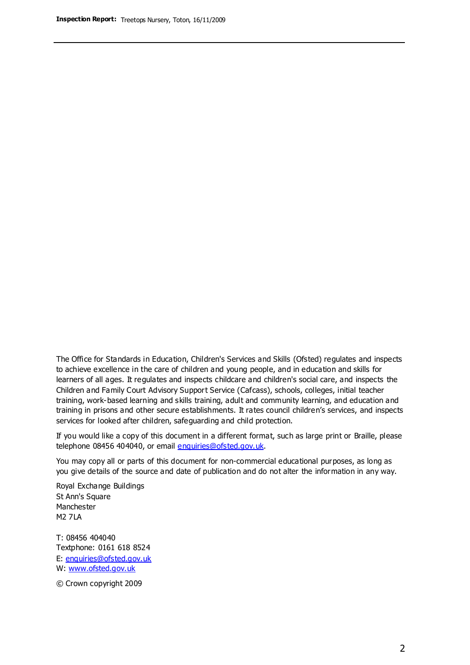The Office for Standards in Education, Children's Services and Skills (Ofsted) regulates and inspects to achieve excellence in the care of children and young people, and in education and skills for learners of all ages. It regulates and inspects childcare and children's social care, and inspects the Children and Family Court Advisory Support Service (Cafcass), schools, colleges, initial teacher training, work-based learning and skills training, adult and community learning, and education and training in prisons and other secure establishments. It rates council children's services, and inspects services for looked after children, safeguarding and child protection.

If you would like a copy of this document in a different format, such as large print or Braille, please telephone 08456 404040, or email enquiries@ofsted.gov.uk.

You may copy all or parts of this document for non-commercial educational purposes, as long as you give details of the source and date of publication and do not alter the information in any way.

Royal Exchange Buildings St Ann's Square Manchester M2 7LA

T: 08456 404040 Textphone: 0161 618 8524 E: enquiries@ofsted.gov.uk W: [www.ofsted.gov.uk](http://www.ofsted.gov.uk/)

© Crown copyright 2009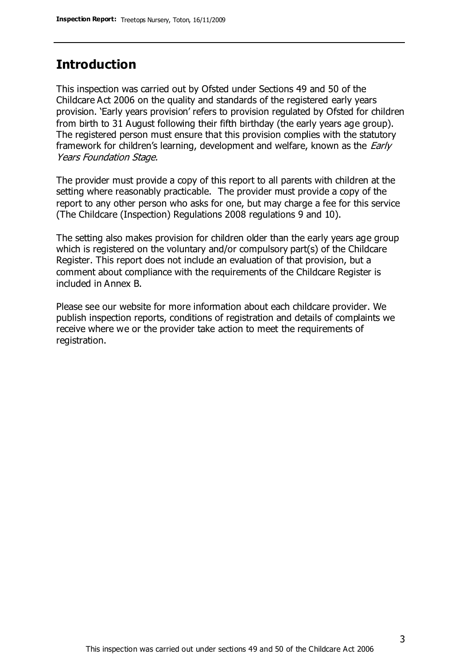### **Introduction**

This inspection was carried out by Ofsted under Sections 49 and 50 of the Childcare Act 2006 on the quality and standards of the registered early years provision. 'Early years provision' refers to provision regulated by Ofsted for children from birth to 31 August following their fifth birthday (the early years age group). The registered person must ensure that this provision complies with the statutory framework for children's learning, development and welfare, known as the *Early* Years Foundation Stage.

The provider must provide a copy of this report to all parents with children at the setting where reasonably practicable. The provider must provide a copy of the report to any other person who asks for one, but may charge a fee for this service (The Childcare (Inspection) Regulations 2008 regulations 9 and 10).

The setting also makes provision for children older than the early years age group which is registered on the voluntary and/or compulsory part(s) of the Childcare Register. This report does not include an evaluation of that provision, but a comment about compliance with the requirements of the Childcare Register is included in Annex B.

Please see our website for more information about each childcare provider. We publish inspection reports, conditions of registration and details of complaints we receive where we or the provider take action to meet the requirements of registration.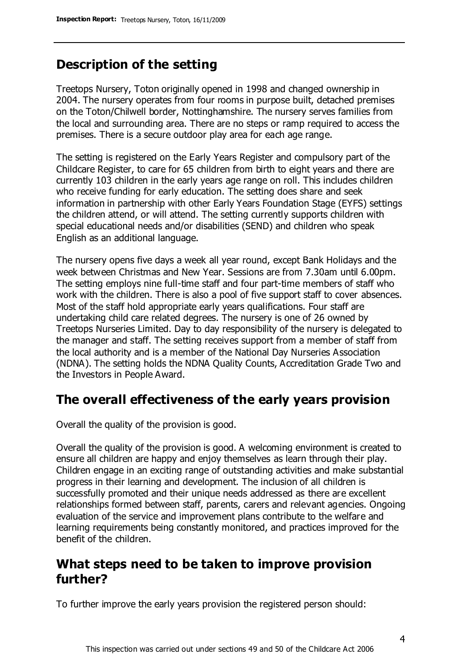### **Description of the setting**

Treetops Nursery, Toton originally opened in 1998 and changed ownership in 2004. The nursery operates from four rooms in purpose built, detached premises on the Toton/Chilwell border, Nottinghamshire. The nursery serves families from the local and surrounding area. There are no steps or ramp required to access the premises. There is a secure outdoor play area for each age range.

The setting is registered on the Early Years Register and compulsory part of the Childcare Register, to care for 65 children from birth to eight years and there are currently 103 children in the early years age range on roll. This includes children who receive funding for early education. The setting does share and seek information in partnership with other Early Years Foundation Stage (EYFS) settings the children attend, or will attend. The setting currently supports children with special educational needs and/or disabilities (SEND) and children who speak English as an additional language.

The nursery opens five days a week all year round, except Bank Holidays and the week between Christmas and New Year. Sessions are from 7.30am until 6.00pm. The setting employs nine full-time staff and four part-time members of staff who work with the children. There is also a pool of five support staff to cover absences. Most of the staff hold appropriate early years qualifications. Four staff are undertaking child care related degrees. The nursery is one of 26 owned by Treetops Nurseries Limited. Day to day responsibility of the nursery is delegated to the manager and staff. The setting receives support from a member of staff from the local authority and is a member of the National Day Nurseries Association (NDNA). The setting holds the NDNA Quality Counts, Accreditation Grade Two and the Investors in People Award.

### **The overall effectiveness of the early years provision**

Overall the quality of the provision is good.

Overall the quality of the provision is good. A welcoming environment is created to ensure all children are happy and enjoy themselves as learn through their play. Children engage in an exciting range of outstanding activities and make substantial progress in their learning and development. The inclusion of all children is successfully promoted and their unique needs addressed as there are excellent relationships formed between staff, parents, carers and relevant agencies. Ongoing evaluation of the service and improvement plans contribute to the welfare and learning requirements being constantly monitored, and practices improved for the benefit of the children.

### **What steps need to be taken to improve provision further?**

To further improve the early years provision the registered person should: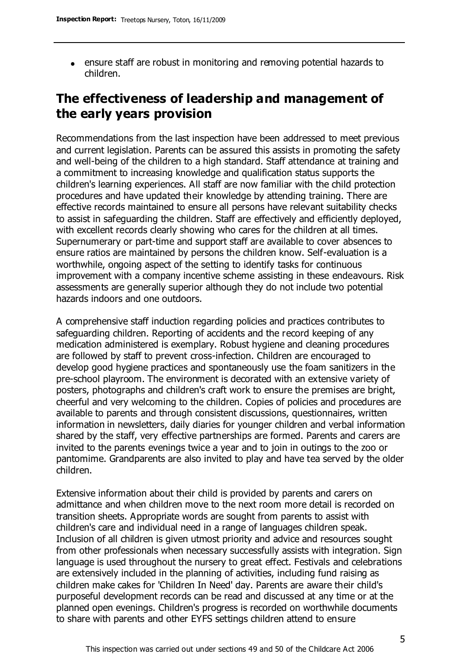ensure staff are robust in monitoring and removing potential hazards to children.

### **The effectiveness of leadership and management of the early years provision**

Recommendations from the last inspection have been addressed to meet previous and current legislation. Parents can be assured this assists in promoting the safety and well-being of the children to a high standard. Staff attendance at training and a commitment to increasing knowledge and qualification status supports the children's learning experiences. All staff are now familiar with the child protection procedures and have updated their knowledge by attending training. There are effective records maintained to ensure all persons have relevant suitability checks to assist in safeguarding the children. Staff are effectively and efficiently deployed, with excellent records clearly showing who cares for the children at all times. Supernumerary or part-time and support staff are available to cover absences to ensure ratios are maintained by persons the children know. Self-evaluation is a worthwhile, ongoing aspect of the setting to identify tasks for continuous improvement with a company incentive scheme assisting in these endeavours. Risk assessments are generally superior although they do not include two potential hazards indoors and one outdoors.

A comprehensive staff induction regarding policies and practices contributes to safeguarding children. Reporting of accidents and the record keeping of any medication administered is exemplary. Robust hygiene and cleaning procedures are followed by staff to prevent cross-infection. Children are encouraged to develop good hygiene practices and spontaneously use the foam sanitizers in the pre-school playroom. The environment is decorated with an extensive variety of posters, photographs and children's craft work to ensure the premises are bright, cheerful and very welcoming to the children. Copies of policies and procedures are available to parents and through consistent discussions, questionnaires, written information in newsletters, daily diaries for younger children and verbal information shared by the staff, very effective partnerships are formed. Parents and carers are invited to the parents evenings twice a year and to join in outings to the zoo or pantomime. Grandparents are also invited to play and have tea served by the older children.

Extensive information about their child is provided by parents and carers on admittance and when children move to the next room more detail is recorded on transition sheets. Appropriate words are sought from parents to assist with children's care and individual need in a range of languages children speak. Inclusion of all children is given utmost priority and advice and resources sought from other professionals when necessary successfully assists with integration. Sign language is used throughout the nursery to great effect. Festivals and celebrations are extensively included in the planning of activities, including fund raising as children make cakes for 'Children In Need' day. Parents are aware their child's purposeful development records can be read and discussed at any time or at the planned open evenings. Children's progress is recorded on worthwhile documents to share with parents and other EYFS settings children attend to ensure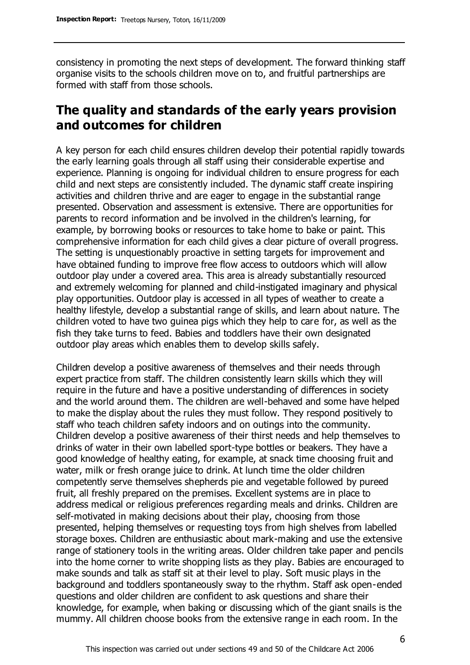consistency in promoting the next steps of development. The forward thinking staff organise visits to the schools children move on to, and fruitful partnerships are formed with staff from those schools.

### **The quality and standards of the early years provision and outcomes for children**

A key person for each child ensures children develop their potential rapidly towards the early learning goals through all staff using their considerable expertise and experience. Planning is ongoing for individual children to ensure progress for each child and next steps are consistently included. The dynamic staff create inspiring activities and children thrive and are eager to engage in the substantial range presented. Observation and assessment is extensive. There are opportunities for parents to record information and be involved in the children's learning, for example, by borrowing books or resources to take home to bake or paint. This comprehensive information for each child gives a clear picture of overall progress. The setting is unquestionably proactive in setting targets for improvement and have obtained funding to improve free flow access to outdoors which will allow outdoor play under a covered area. This area is already substantially resourced and extremely welcoming for planned and child-instigated imaginary and physical play opportunities. Outdoor play is accessed in all types of weather to create a healthy lifestyle, develop a substantial range of skills, and learn about nature. The children voted to have two guinea pigs which they help to care for, as well as the fish they take turns to feed. Babies and toddlers have their own designated outdoor play areas which enables them to develop skills safely.

Children develop a positive awareness of themselves and their needs through expert practice from staff. The children consistently learn skills which they will require in the future and have a positive understanding of differences in society and the world around them. The children are well-behaved and some have helped to make the display about the rules they must follow. They respond positively to staff who teach children safety indoors and on outings into the community. Children develop a positive awareness of their thirst needs and help themselves to drinks of water in their own labelled sport-type bottles or beakers. They have a good knowledge of healthy eating, for example, at snack time choosing fruit and water, milk or fresh orange juice to drink. At lunch time the older children competently serve themselves shepherds pie and vegetable followed by pureed fruit, all freshly prepared on the premises. Excellent systems are in place to address medical or religious preferences regarding meals and drinks. Children are self-motivated in making decisions about their play, choosing from those presented, helping themselves or requesting toys from high shelves from labelled storage boxes. Children are enthusiastic about mark-making and use the extensive range of stationery tools in the writing areas. Older children take paper and pencils into the home corner to write shopping lists as they play. Babies are encouraged to make sounds and talk as staff sit at their level to play. Soft music plays in the background and toddlers spontaneously sway to the rhythm. Staff ask open-ended questions and older children are confident to ask questions and share their knowledge, for example, when baking or discussing which of the giant snails is the mummy. All children choose books from the extensive range in each room. In the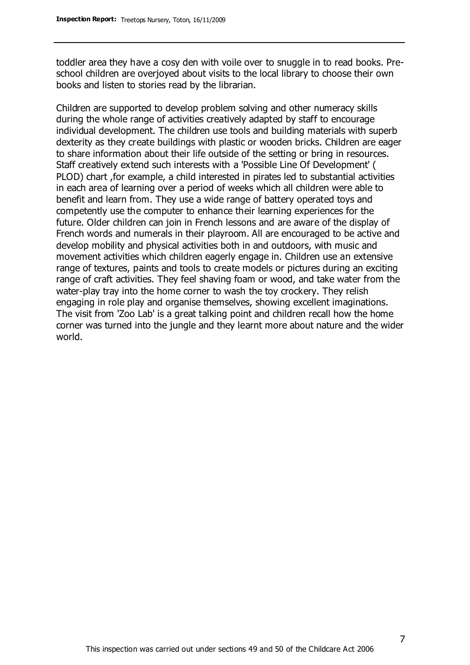toddler area they have a cosy den with voile over to snuggle in to read books. Preschool children are overjoyed about visits to the local library to choose their own books and listen to stories read by the librarian.

Children are supported to develop problem solving and other numeracy skills during the whole range of activities creatively adapted by staff to encourage individual development. The children use tools and building materials with superb dexterity as they create buildings with plastic or wooden bricks. Children are eager to share information about their life outside of the setting or bring in resources. Staff creatively extend such interests with a 'Possible Line Of Development' ( PLOD) chart ,for example, a child interested in pirates led to substantial activities in each area of learning over a period of weeks which all children were able to benefit and learn from. They use a wide range of battery operated toys and competently use the computer to enhance their learning experiences for the future. Older children can join in French lessons and are aware of the display of French words and numerals in their playroom. All are encouraged to be active and develop mobility and physical activities both in and outdoors, with music and movement activities which children eagerly engage in. Children use an extensive range of textures, paints and tools to create models or pictures during an exciting range of craft activities. They feel shaving foam or wood, and take water from the water-play tray into the home corner to wash the toy crockery. They relish engaging in role play and organise themselves, showing excellent imaginations. The visit from 'Zoo Lab' is a great talking point and children recall how the home corner was turned into the jungle and they learnt more about nature and the wider world.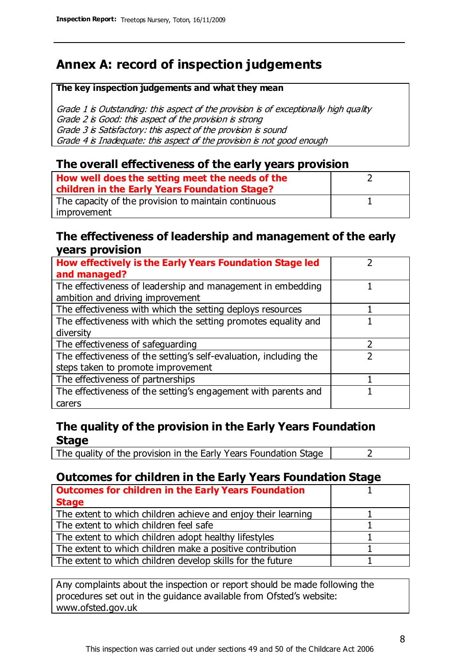## **Annex A: record of inspection judgements**

#### **The key inspection judgements and what they mean**

Grade 1 is Outstanding: this aspect of the provision is of exceptionally high quality Grade 2 is Good: this aspect of the provision is strong Grade 3 is Satisfactory: this aspect of the provision is sound Grade 4 is Inadequate: this aspect of the provision is not good enough

#### **The overall effectiveness of the early years provision**

| How well does the setting meet the needs of the      |  |
|------------------------------------------------------|--|
| children in the Early Years Foundation Stage?        |  |
| The capacity of the provision to maintain continuous |  |
| improvement                                          |  |

#### **The effectiveness of leadership and management of the early years provision**

| How effectively is the Early Years Foundation Stage led                                         |   |
|-------------------------------------------------------------------------------------------------|---|
| and managed?                                                                                    |   |
| The effectiveness of leadership and management in embedding<br>ambition and driving improvement |   |
|                                                                                                 |   |
| The effectiveness with which the setting deploys resources                                      |   |
| The effectiveness with which the setting promotes equality and                                  |   |
| diversity                                                                                       |   |
| The effectiveness of safeguarding                                                               | フ |
| The effectiveness of the setting's self-evaluation, including the                               |   |
| steps taken to promote improvement                                                              |   |
| The effectiveness of partnerships                                                               |   |
| The effectiveness of the setting's engagement with parents and                                  |   |
| carers                                                                                          |   |

#### **The quality of the provision in the Early Years Foundation Stage**

The quality of the provision in the Early Years Foundation Stage  $\vert$  2

#### **Outcomes for children in the Early Years Foundation Stage**

| <b>Outcomes for children in the Early Years Foundation</b>    |  |
|---------------------------------------------------------------|--|
| <b>Stage</b>                                                  |  |
| The extent to which children achieve and enjoy their learning |  |
| The extent to which children feel safe                        |  |
| The extent to which children adopt healthy lifestyles         |  |
| The extent to which children make a positive contribution     |  |
| The extent to which children develop skills for the future    |  |

Any complaints about the inspection or report should be made following the procedures set out in the guidance available from Ofsted's website: www.ofsted.gov.uk